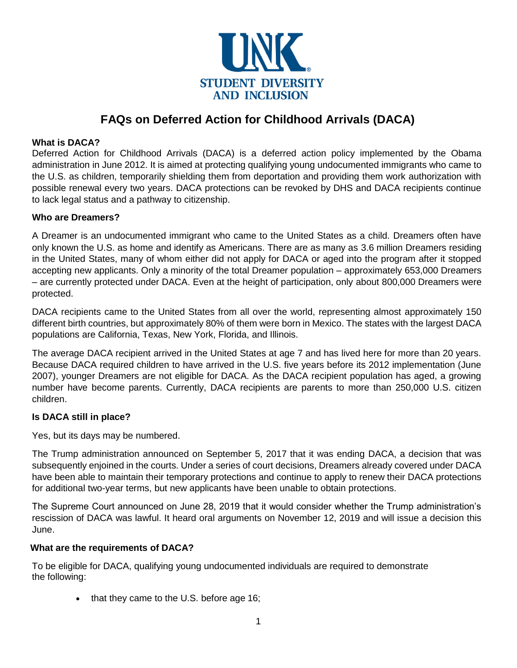

# **FAQs on Deferred Action for Childhood Arrivals (DACA)**

## **What is DACA?**

Deferred Action for Childhood Arrivals (DACA) is a [deferred action](https://immigrationforum.org/article/deferred-action-basics/) policy [implemented by the](https://obamawhitehouse.archives.gov/blog/2012/08/15/deferred-action-childhood-arrivals-who-can-be-considered) [Obama](https://obamawhitehouse.archives.gov/blog/2012/08/15/deferred-action-childhood-arrivals-who-can-be-considered)  [administration](https://obamawhitehouse.archives.gov/blog/2012/08/15/deferred-action-childhood-arrivals-who-can-be-considered) in June 2012. It is aimed at protecting qualifying young undocumented immigrants who came to the U.S. as children, temporarily shielding them from deportation and providing them work authorization with possible renewal every two years. DACA protections can be revoked by DHS and DACA recipients continue to lack legal status and a pathway to citizenship.

### **Who are Dreamers?**

A Dreamer is an undocumented immigrant who came to the United States as a child. Dreamers often have only known the U.S. as home and identify as Americans. There are as many as [3.6](https://www.washingtonpost.com/politics/in-immigration-debate-on-dreamers-an-unresolved-question-how-many-are-there/2018/01/23/72713072-0053-11e8-9d31-d72cf78dbeee_story.html) [million Dreamers](https://www.washingtonpost.com/politics/in-immigration-debate-on-dreamers-an-unresolved-question-how-many-are-there/2018/01/23/72713072-0053-11e8-9d31-d72cf78dbeee_story.html) residing in the United States, many of whom either did not apply for DACA or aged into the program after it stopped accepting new applicants. Only a minority of the total Dreamer population – [approximately 653,000 Dreamers](https://www.uscis.gov/sites/default/files/USCIS/Resources/Reports%20and%20Studies/Immigration%20Forms%20Data/All%20Form%20Types/DACA/DACA_Population_Receipts_since_Injunction_Sep_30_2019.pdf) – are currently protected under DACA. Even at the height of participation, only [about 800,000 Dreamers](https://www.pewresearch.org/fact-tank/2017/09/01/unauthorized-immigrants-covered-by-daca-face-uncertain-future/) were protected.

DACA recipients came to the United States from all over the world, representing almost [approximately 150](https://www.uscis.gov/sites/default/files/USCIS/Resources/Reports%20and%20Studies/Immigration%20Forms%20Data/All%20Form%20Types/DACA/DACA_Population_Receipts_since_Injunction_Sep_30_2019.pdf)  [different birth countries,](https://www.uscis.gov/sites/default/files/USCIS/Resources/Reports%20and%20Studies/Immigration%20Forms%20Data/All%20Form%20Types/DACA/DACA_Population_Receipts_since_Injunction_Sep_30_2019.pdf) but approximately 80% of them were born in Mexico. The [states with the largest DACA](https://www.governing.com/gov-data/other/daca-approved-participants-by-state.html)  [populations](https://www.governing.com/gov-data/other/daca-approved-participants-by-state.html) are California, Texas, New York, Florida, and Illinois.

The [average DACA recipient](https://www.nilc.org/2019/10/02/daca-coalition-launches-home-is-here/) arrived in the United States at age 7 and has lived here for more than 20 years. Because DACA required children to have arrived in the U.S. five years before its 2012 implementation (June 2007), younger Dreamers are not eligible for DACA. As the DACA recipient population has aged, a growing number have become parents. Currently, DACA recipients are [parents](https://www.nilc.org/2019/10/02/daca-coalition-launches-home-is-here/) to more than 250,000 U.S. citizen children.

### **Is DACA still in place?**

Yes, but its days may be numbered.

The Trump administration [announced](https://www.washingtonpost.com/news/post-politics/wp/2017/09/05/trump-administration-announces-end-of-immigration-protection-program-for-dreamers/?utm_term=.a0f011106f56) on September 5, 2017 that it was ending DACA, a decision that [was](https://www.nilc.org/issues/daca/daca-litigation-timeline/)  [subsequently enjoined](https://www.nilc.org/issues/daca/daca-litigation-timeline/) in the courts. Under a series of court decisions, Dreamers already covered under DACA have been able to maintain their temporary protections and continue to apply to renew their DACA protections for additional two-year terms, but new applicants have been unable to obtain protections.

The Supreme Court announced on June 28, 2019 that it would consider whether the Trump administration's rescission of DACA was lawful. It heard [oral arguments](https://www.nytimes.com/2019/11/12/us/supreme-court-dreamers.html) on November 12, 2019 and will issue a decision this June.

### **What are the requirements of DACA?**

To be eligible for DACA, qualifying young undocumented individuals are required to demonstrate the [following:](https://www.uscis.gov/archive/consideration-deferred-action-childhood-arrivals-daca)

• that they came to the U.S. before age 16;